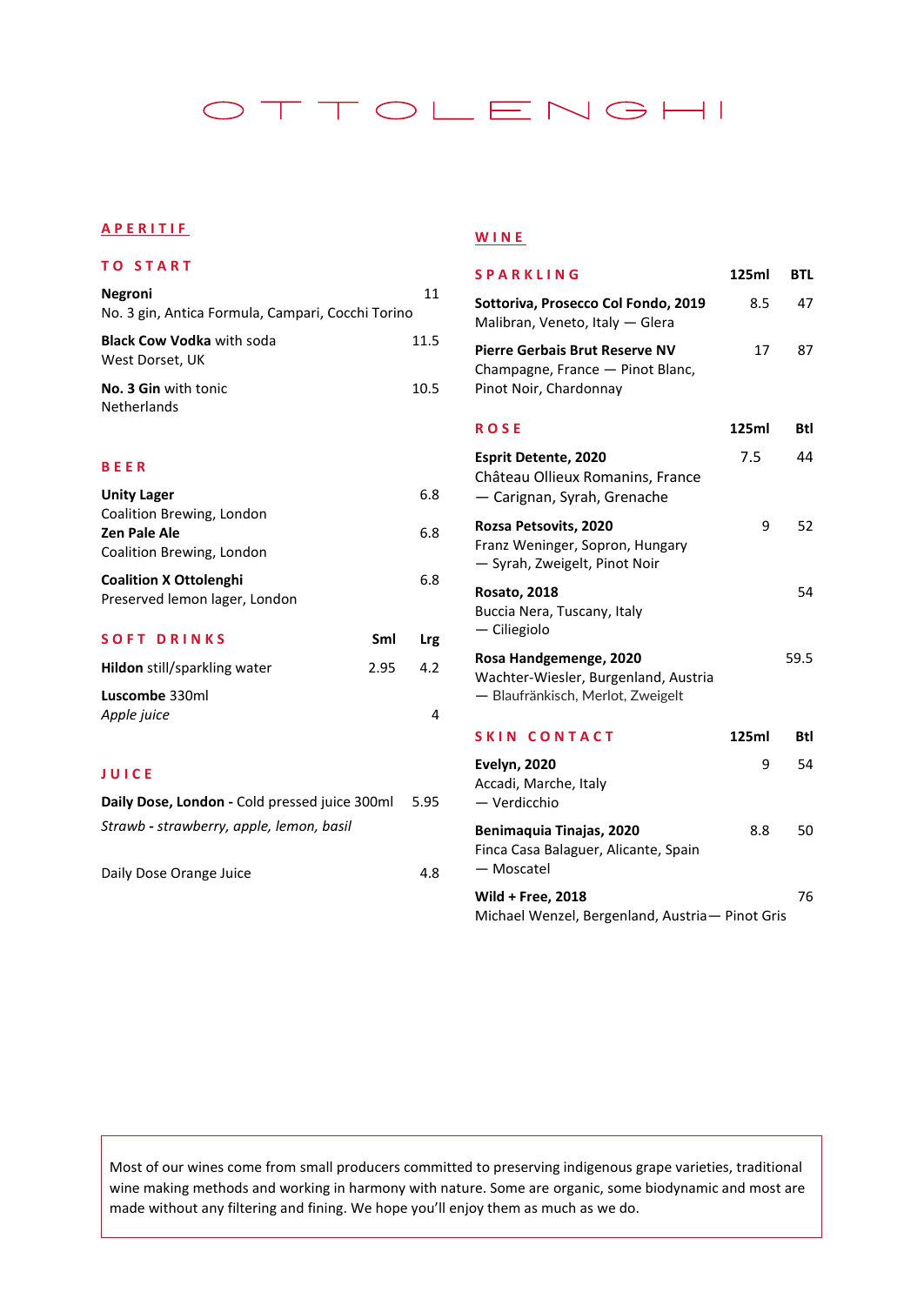# OTTOLENGHI

# **A P E R I TIF**

## **T O S T A R T**

| Negroni                                             | 11   |
|-----------------------------------------------------|------|
| No. 3 gin, Antica Formula, Campari, Cocchi Torino   |      |
| <b>Black Cow Vodka</b> with soda<br>West Dorset, UK | 11.5 |
| No. 3 Gin with tonic<br>Netherlands                 | 10.5 |

### **B E E R**

| <b>Unity Lager</b>            |     | 6.8 |
|-------------------------------|-----|-----|
| Coalition Brewing, London     |     |     |
| Zen Pale Ale                  |     | 6.8 |
| Coalition Brewing, London     |     |     |
| <b>Coalition X Ottolenghi</b> |     | 6.8 |
| Preserved lemon lager, London |     |     |
|                               |     |     |
| SOFT DRINKS                   | Sml |     |

| <b>Hildon</b> still/sparkling water | 2.95 | 4.2 |
|-------------------------------------|------|-----|
| Luscombe 330ml                      |      |     |
| Apple juice                         |      | Δ   |

## **J U I C E**

| Daily Dose, London - Cold pressed juice 300ml | -5.95 |
|-----------------------------------------------|-------|
| Strawb - strawberry, apple, lemon, basil      |       |
|                                               |       |
|                                               |       |

| 4.8 |
|-----|
|     |

### **W I N E**

| <b>SPARKLING</b>                                                                                    | 125ml | BTL  |
|-----------------------------------------------------------------------------------------------------|-------|------|
| Sottoriva, Prosecco Col Fondo, 2019<br>Malibran, Veneto, Italy - Glera                              | 8.5   | 47   |
| <b>Pierre Gerbais Brut Reserve NV</b><br>Champagne, France - Pinot Blanc,<br>Pinot Noir, Chardonnay | 17    | 87   |
| <b>ROSE</b>                                                                                         | 125ml | Btl  |
| Esprit Detente, 2020<br>Château Ollieux Romanins, France<br>— Carignan, Syrah, Grenache             | 7.5   | 44   |
| Rozsa Petsovits, 2020<br>Franz Weninger, Sopron, Hungary<br>- Syrah, Zweigelt, Pinot Noir           | 9     | 52   |
| <b>Rosato, 2018</b><br>Buccia Nera, Tuscany, Italy<br>— Ciliegiolo                                  |       | 54   |
| Rosa Handgemenge, 2020<br>Wachter-Wiesler, Burgenland, Austria<br>- Blaufränkisch, Merlot, Zweigelt |       | 59.5 |
| <b>SKIN CONTACT</b>                                                                                 | 125ml | Btl  |
| <b>Evelyn, 2020</b><br>Accadi, Marche, Italy<br>— Verdicchio                                        | 9     | 54   |
| Benimaquia Tinajas, 2020<br>Finca Casa Balaguer, Alicante, Spain<br>- Moscatel                      | 8.8   | 50   |
| Wild + Free, 2018<br>Michael Wenzel, Bergenland, Austria- Pinot Gris                                |       | 76   |

Most of our wines come from small producers committed to preserving indigenous grape varieties, traditional wine making methods and working in harmony with nature. Some are organic, some biodynamic and most are made without any filtering and fining. We hope you'll enjoy them as much as we do.